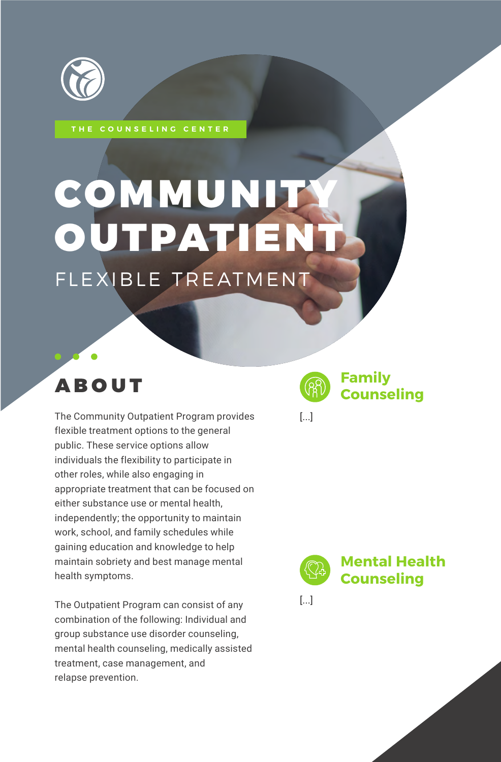

**THE COUNSELING CENTER**

# **COMMUNITY** OUTPATIEN FLEXIBLE TREATMENT

## ABOUT

The Community Outpatient Program provides flexible treatment options to the general public. These service options allow individuals the flexibility to participate in other roles, while also engaging in appropriate treatment that can be focused on either substance use or mental health, independently; the opportunity to maintain work, school, and family schedules while gaining education and knowledge to help maintain sobriety and best manage mental health symptoms.

The Outpatient Program can consist of any combination of the following: Individual and group substance use disorder counseling, mental health counseling, medically assisted treatment, case management, and relapse prevention.



[...]

**Mental Health Counseling**